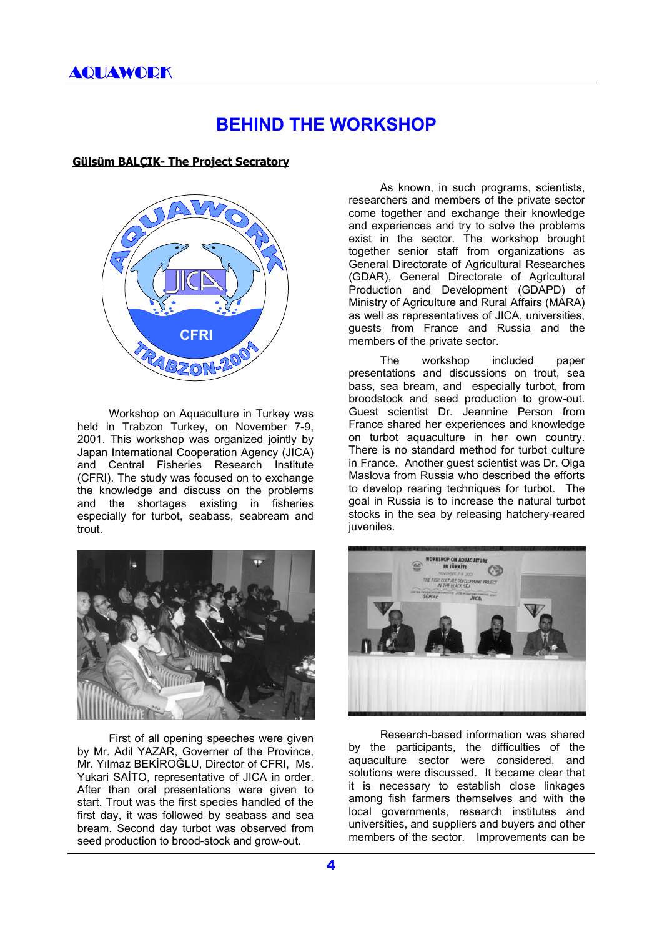## **BEHIND THE WORKSHOP**

## **Gülsüm BALÇIK- The Project Secratory**



Workshop on Aquaculture in Turkey was held in Trabzon Turkey, on November 7-9, 2001. This workshop was organized jointly by Japan International Cooperation Agency (JICA) and Central Fisheries Research Institute (CFRI). The study was focused on to exchange the knowledge and discuss on the problems and the shortages existing in fisheries especially for turbot, seabass, seabream and trout.



First of all opening speeches were given by Mr. Adil YAZAR, Governer of the Province, Mr. Yılmaz BEKİROĞLU, Director of CFRI, Ms. Yukari SAİTO, representative of JICA in order. After than oral presentations were given to start. Trout was the first species handled of the first day, it was followed by seabass and sea bream. Second day turbot was observed from seed production to brood-stock and grow-out.

As known, in such programs, scientists, researchers and members of the private sector come together and exchange their knowledge and experiences and try to solve the problems exist in the sector. The workshop brought together senior staff from organizations as General Directorate of Agricultural Researches (GDAR), General Directorate of Agricultural Production and Development (GDAPD) of Ministry of Agriculture and Rural Affairs (MARA) as well as representatives of JICA, universities, guests from France and Russia and the members of the private sector.

The workshop included paper presentations and discussions on trout, sea bass, sea bream, and especially turbot, from broodstock and seed production to grow-out. Guest scientist Dr. Jeannine Person from France shared her experiences and knowledge on turbot aquaculture in her own country. There is no standard method for turbot culture in France. Another guest scientist was Dr. Olga Maslova from Russia who described the efforts to develop rearing techniques for turbot. The goal in Russia is to increase the natural turbot stocks in the sea by releasing hatchery-reared juveniles.



Research-based information was shared by the participants, the difficulties of the aquaculture sector were considered, and solutions were discussed. It became clear that it is necessary to establish close linkages among fish farmers themselves and with the local governments, research institutes and universities, and suppliers and buyers and other members of the sector. Improvements can be